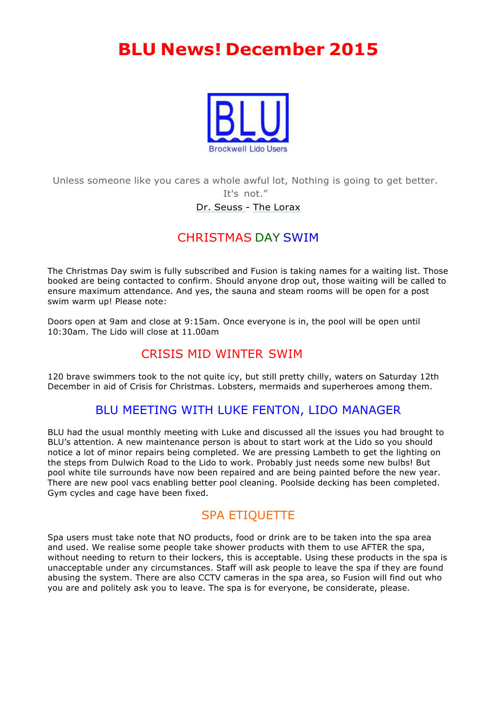# **BLU News! December 2015**



Unless someone like you cares a whole awful lot, Nothing is going to get better. It's not."

#### Dr. Seuss - The Lorax

# CHRISTMAS DAY SWIM

The Christmas Day swim is fully subscribed and Fusion is taking names for a waiting list. Those booked are being contacted to confirm. Should anyone drop out, those waiting will be called to ensure maximum attendance. And yes, the sauna and steam rooms will be open for a post swim warm up! Please note:

Doors open at 9am and close at 9:15am. Once everyone is in, the pool will be open until 10:30am. The Lido will close at 11.00am

# CRISIS MID WINTER SWIM

120 brave swimmers took to the not quite icy, but still pretty chilly, waters on Saturday 12th December in aid of Crisis for Christmas. Lobsters, mermaids and superheroes among them.

### BLU MEETING WITH LUKE FENTON, LIDO MANAGER

BLU had the usual monthly meeting with Luke and discussed all the issues you had brought to BLU's attention. A new maintenance person is about to start work at the Lido so you should notice a lot of minor repairs being completed. We are pressing Lambeth to get the lighting on the steps from Dulwich Road to the Lido to work. Probably just needs some new bulbs! But pool white tile surrounds have now been repaired and are being painted before the new year. There are new pool vacs enabling better pool cleaning. Poolside decking has been completed. Gym cycles and cage have been fixed.

# SPA ETIQUETTE

Spa users must take note that NO products, food or drink are to be taken into the spa area and used. We realise some people take shower products with them to use AFTER the spa, without needing to return to their lockers, this is acceptable. Using these products in the spa is unacceptable under any circumstances. Staff will ask people to leave the spa if they are found abusing the system. There are also CCTV cameras in the spa area, so Fusion will find out who you are and politely ask you to leave. The spa is for everyone, be considerate, please.